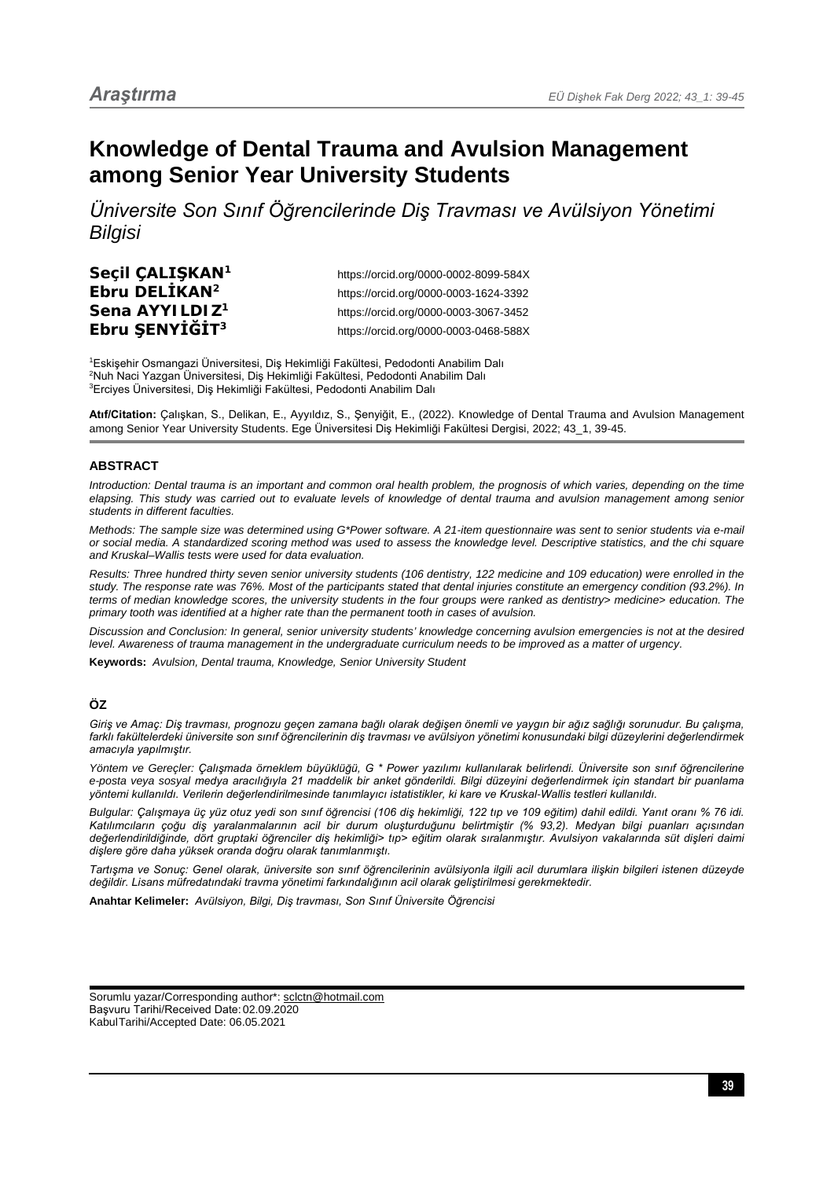# **Knowledge of Dental Trauma and Avulsion Management among Senior Year University Students**

*Üniversite Son Sınıf Öğrencilerinde Diş Travması ve Avülsiyon Yönetimi Bilgisi*

**Seçil ÇALIŞKAN<sup>1</sup>** https://orcid.org/0000-0002-8099-584X **Ebru DELİKAN<sup>2</sup>** https://orcid.org/0000-0003-1624-3392 **Sena AYYILDIZ<sup>1</sup>** https://orcid.org/0000-0003-3067-3452 **Ebru ŞENYİĞİT<sup>3</sup>** https://orcid.org/0000-0003-0468-588X

1 Eskişehir Osmangazi Üniversitesi, Diş Hekimliği Fakültesi, Pedodonti Anabilim Dalı 2 Nuh Naci Yazgan Üniversitesi, Diş Hekimliği Fakültesi, Pedodonti Anabilim Dalı 3 Erciyes Üniversitesi, Diş Hekimliği Fakültesi, Pedodonti Anabilim Dalı

**Atıf/Citation:** Çalışkan, S., Delikan, E., Ayyıldız, S., Şenyiğit, E., (2022). Knowledge of Dental Trauma and Avulsion Management among Senior Year University Students. Ege Üniversitesi Diş Hekimliği Fakültesi Dergisi, 2022; 43\_1, 39-45.

#### **ABSTRACT**

*Introduction: Dental trauma is an important and common oral health problem, the prognosis of which varies, depending on the time elapsing. This study was carried out to evaluate levels of knowledge of dental trauma and avulsion management among senior students in different faculties.*

*Methods: The sample size was determined using G\*Power software. A 21-item questionnaire was sent to senior students via e-mail or social media. A standardized scoring method was used to assess the knowledge level. Descriptive statistics, and the chi square and Kruskal–Wallis tests were used for data evaluation.*

*Results: Three hundred thirty seven senior university students (106 dentistry, 122 medicine and 109 education) were enrolled in the study. The response rate was 76%. Most of the participants stated that dental injuries constitute an emergency condition (93.2%). In terms of median knowledge scores, the university students in the four groups were ranked as dentistry> medicine> education. The primary tooth was identified at a higher rate than the permanent tooth in cases of avulsion.*

*Discussion and Conclusion: In general, senior university students' knowledge concerning avulsion emergencies is not at the desired level. Awareness of trauma management in the undergraduate curriculum needs to be improved as a matter of urgency.*

**Keywords:** *Avulsion, Dental trauma, Knowledge, Senior University Student*

# **ÖZ**

*Giriş ve Amaç: Diş travması, prognozu geçen zamana bağlı olarak değişen önemli ve yaygın bir ağız sağlığı sorunudur. Bu çalışma, farklı fakültelerdeki üniversite son sınıf öğrencilerinin diş travması ve avülsiyon yönetimi konusundaki bilgi düzeylerini değerlendirmek amacıyla yapılmıştır.*

*Yöntem ve Gereçler: Çalışmada örneklem büyüklüğü, G \* Power yazılımı kullanılarak belirlendi. Üniversite son sınıf öğrencilerine e-posta veya sosyal medya aracılığıyla 21 maddelik bir anket gönderildi. Bilgi düzeyini değerlendirmek için standart bir puanlama yöntemi kullanıldı. Verilerin değerlendirilmesinde tanımlayıcı istatistikler, ki kare ve Kruskal-Wallis testleri kullanıldı.*

*Bulgular: Çalışmaya üç yüz otuz yedi son sınıf öğrencisi (106 diş hekimliği, 122 tıp ve 109 eğitim) dahil edildi. Yanıt oranı % 76 idi. Katılımcıların çoğu diş yaralanmalarının acil bir durum oluşturduğunu belirtmiştir (% 93,2). Medyan bilgi puanları açısından değerlendirildiğinde, dört gruptaki öğrenciler diş hekimliği> tıp> eğitim olarak sıralanmıştır. Avulsiyon vakalarında süt dişleri daimi dişlere göre daha yüksek oranda doğru olarak tanımlanmıştı.*

*Tartışma ve Sonuç: Genel olarak, üniversite son sınıf öğrencilerinin avülsiyonla ilgili acil durumlara ilişkin bilgileri istenen düzeyde değildir. Lisans müfredatındaki travma yönetimi farkındalığının acil olarak geliştirilmesi gerekmektedir.*

**Anahtar Kelimeler:** *Avülsiyon, Bilgi, Diş travması, Son Sınıf Üniversite Öğrencisi*

Sorumlu yazar/Corresponding author\*: sclctn@hotmail.com Başvuru Tarihi/Received Date: 02.09.2020 KabulTarihi/Accepted Date: 06.05.2021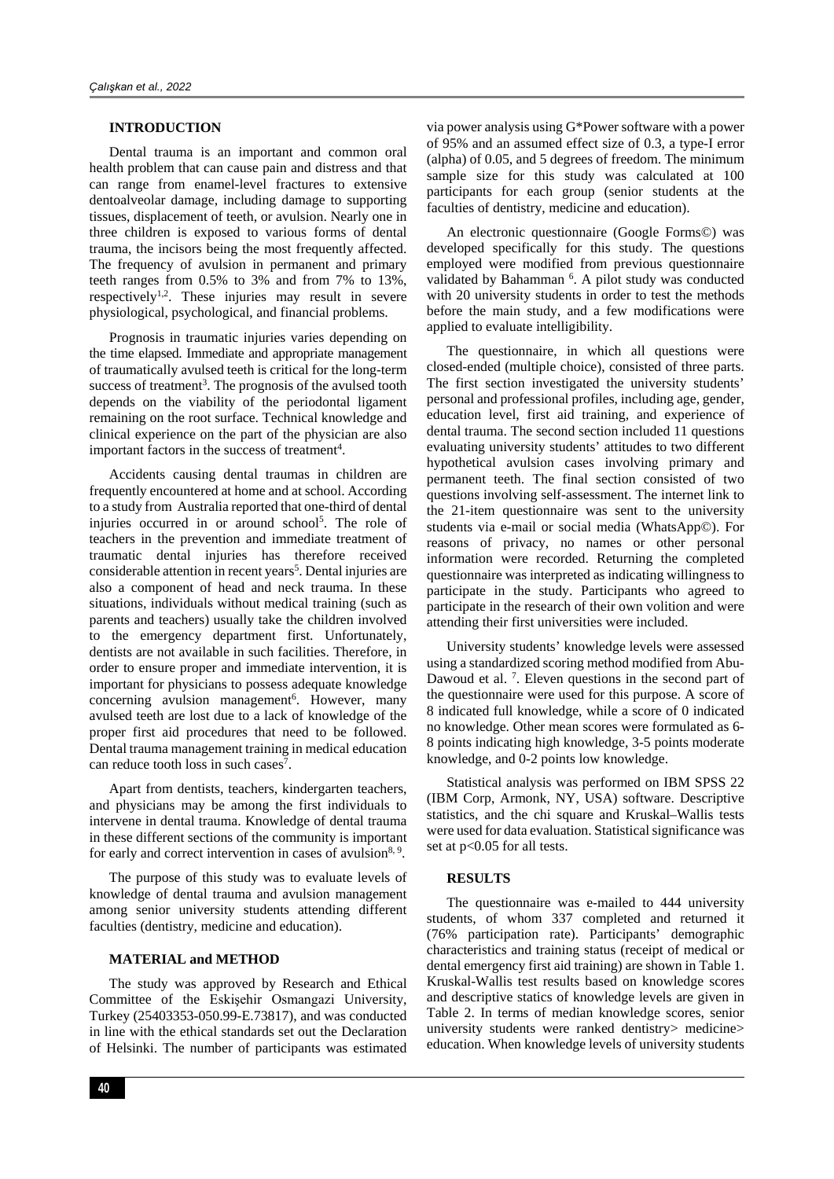#### **INTRODUCTION**

Dental trauma is an important and common oral health problem that can cause pain and distress and that can range from enamel-level fractures to extensive dentoalveolar damage, including damage to supporting tissues, displacement of teeth, or avulsion. Nearly one in three children is exposed to various forms of dental trauma, the incisors being the most frequently affected. The frequency of avulsion in permanent and primary teeth ranges from 0.5% to 3% and from 7% to 13%, respectively<sup>1,2</sup>. These injuries may result in severe physiological, psychological, and financial problems.

Prognosis in traumatic injuries varies depending on the time elapsed. Immediate and appropriate management of traumatically avulsed teeth is critical for the long-term success of treatment<sup>3</sup>. The prognosis of the avulsed tooth depends on the viability of the periodontal ligament remaining on the root surface. Technical knowledge and clinical experience on the part of the physician are also important factors in the success of treatment<sup>4</sup>.

Accidents causing dental traumas in children are frequently encountered at home and at school. According to a study from Australia reported that one-third of dental injuries occurred in or around school<sup>5</sup>. The role of teachers in the prevention and immediate treatment of traumatic dental injuries has therefore received considerable attention in recent years<sup>5</sup>. Dental injuries are also a component of head and neck trauma. In these situations, individuals without medical training (such as parents and teachers) usually take the children involved to the emergency department first. Unfortunately, dentists are not available in such facilities. Therefore, in order to ensure proper and immediate intervention, it is important for physicians to possess adequate knowledge concerning avulsion management<sup>6</sup>. However, many avulsed teeth are lost due to a lack of knowledge of the proper first aid procedures that need to be followed. Dental trauma management training in medical education can reduce tooth loss in such cases<sup>7</sup>.

Apart from dentists, teachers, kindergarten teachers, and physicians may be among the first individuals to intervene in dental trauma. Knowledge of dental trauma in these different sections of the community is important for early and correct intervention in cases of avulsion $8, 9$ .

The purpose of this study was to evaluate levels of knowledge of dental trauma and avulsion management among senior university students attending different faculties (dentistry, medicine and education).

# **MATERIAL and METHOD**

The study was approved by Research and Ethical Committee of the Eskişehir Osmangazi University, Turkey (25403353-050.99-E.73817), and was conducted in line with the ethical standards set out the Declaration of Helsinki. The number of participants was estimated

via power analysis using G\*Power software with a power of 95% and an assumed effect size of 0.3, a type-I error (alpha) of 0.05, and 5 degrees of freedom. The minimum sample size for this study was calculated at 100 participants for each group (senior students at the faculties of dentistry, medicine and education).

An electronic questionnaire (Google Forms©) was developed specifically for this study. The questions employed were modified from previous questionnaire validated by Bahamman <sup>6</sup>. A pilot study was conducted with 20 university students in order to test the methods before the main study, and a few modifications were applied to evaluate intelligibility.

The questionnaire, in which all questions were closed-ended (multiple choice), consisted of three parts. The first section investigated the university students' personal and professional profiles, including age, gender, education level, first aid training, and experience of dental trauma. The second section included 11 questions evaluating university students' attitudes to two different hypothetical avulsion cases involving primary and permanent teeth. The final section consisted of two questions involving self-assessment. The internet link to the 21-item questionnaire was sent to the university students via e-mail or social media (WhatsApp©). For reasons of privacy, no names or other personal information were recorded. Returning the completed questionnaire was interpreted as indicating willingness to participate in the study. Participants who agreed to participate in the research of their own volition and were attending their first universities were included.

University students' knowledge levels were assessed using a standardized scoring method modified from Abu-Dawoud et al.<sup>7</sup>. Eleven questions in the second part of the questionnaire were used for this purpose. A score of 8 indicated full knowledge, while a score of 0 indicated no knowledge. Other mean scores were formulated as 6- 8 points indicating high knowledge, 3-5 points moderate knowledge, and 0-2 points low knowledge.

Statistical analysis was performed on IBM SPSS 22 (IBM Corp, Armonk, NY, USA) software. Descriptive statistics, and the chi square and Kruskal–Wallis tests were used for data evaluation. Statistical significance was set at p<0.05 for all tests.

## **RESULTS**

The questionnaire was e-mailed to 444 university students, of whom 337 completed and returned it (76% participation rate). Participants' demographic characteristics and training status (receipt of medical or dental emergency first aid training) are shown in Table 1. Kruskal-Wallis test results based on knowledge scores and descriptive statics of knowledge levels are given in Table 2. In terms of median knowledge scores, senior university students were ranked dentistry> medicine> education. When knowledge levels of university students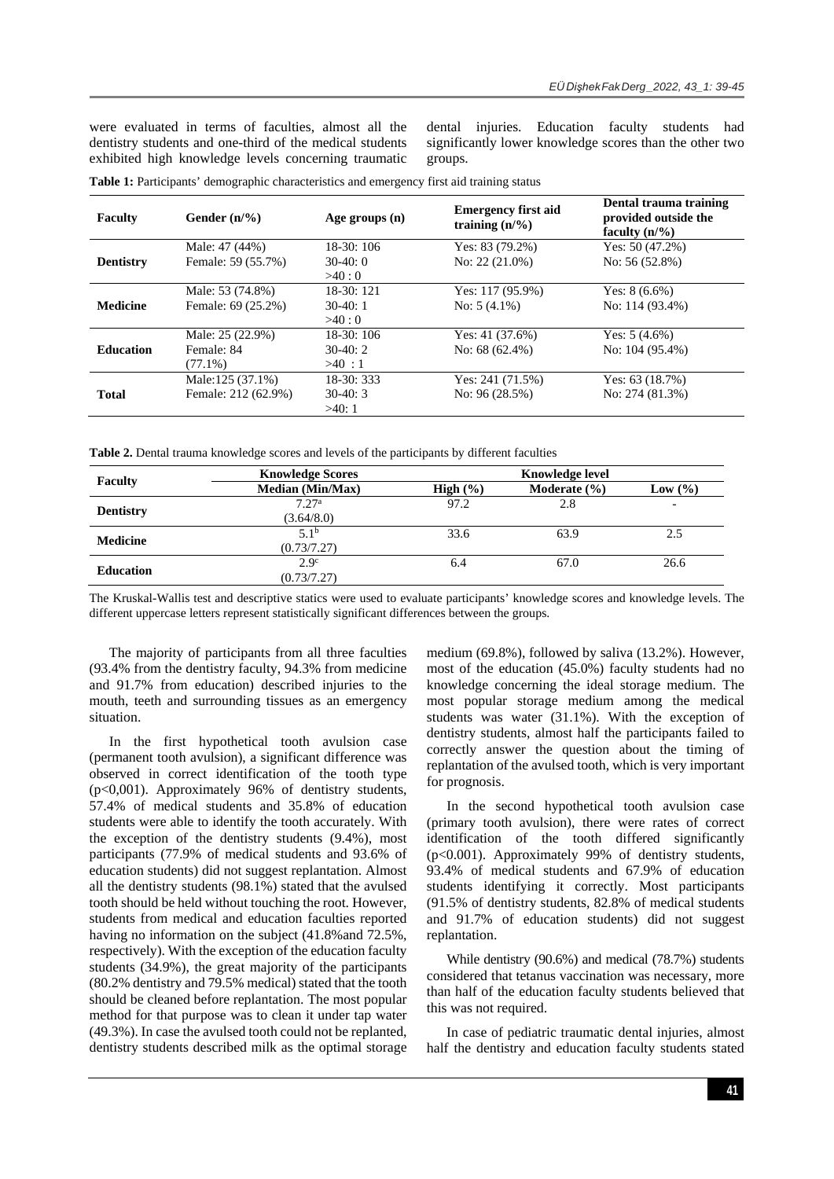were evaluated in terms of faculties, almost all the dentistry students and one-third of the medical students exhibited high knowledge levels concerning traumatic dental injuries. Education faculty students had significantly lower knowledge scores than the other two groups.

| <b>Faculty</b>   | Gender $(n/\%)$     | Age groups $(n)$ | <b>Emergency first aid</b><br>training $(n/\%)$ | Dental trauma training<br>provided outside the<br>faculty $(n/\%)$ |
|------------------|---------------------|------------------|-------------------------------------------------|--------------------------------------------------------------------|
| <b>Dentistry</b> | Male: 47 (44%)      | 18-30: 106       | Yes: $83(79.2\%)$                               | Yes: $50(47.2\%)$                                                  |
|                  | Female: 59 (55.7%)  | $30-40:0$        | No: $22(21.0\%)$                                | No: $56(52.8\%)$                                                   |
|                  |                     | >40:0            |                                                 |                                                                    |
| <b>Medicine</b>  | Male: 53 (74.8%)    | $18-30:121$      | Yes: $117(95.9\%)$                              | Yes: $8(6.6\%)$                                                    |
|                  | Female: 69 (25.2%)  | $30-40:1$        | No: $5(4.1\%)$                                  | No: 114 (93.4%)                                                    |
|                  |                     | >40:0            |                                                 |                                                                    |
| <b>Education</b> | Male: 25 (22.9%)    | $18-30:106$      | Yes: $41(37.6%)$                                | Yes: $5(4.6\%)$                                                    |
|                  | Female: 84          | $30-40:2$        | No: $68(62.4\%)$                                | No: $104(95.4\%)$                                                  |
|                  | $(77.1\%)$          | >40:1            |                                                 |                                                                    |
|                  | Male:125 (37.1%)    | $18-30:333$      | Yes: $241(71.5%)$                               | Yes: $63(18.7%)$                                                   |
| <b>Total</b>     | Female: 212 (62.9%) | $30-40:3$        | No: $96(28.5%)$                                 | No: $274(81.3%)$                                                   |
|                  |                     | >40:1            |                                                 |                                                                    |

**Table 1:** Participants' demographic characteristics and emergency first aid training status

Table 2. Dental trauma knowledge scores and levels of the participants by different faculties

|                  | <b>Knowledge Scores</b> | <b>Knowledge level</b> |                  |                          |
|------------------|-------------------------|------------------------|------------------|--------------------------|
| <b>Faculty</b>   | <b>Median (Min/Max)</b> | High $(\% )$           | Moderate $(\% )$ | Low $(\% )$              |
|                  | 7.27 <sup>a</sup>       | 97.2                   | 2.8              | $\overline{\phantom{0}}$ |
| <b>Dentistry</b> | (3.64/8.0)              |                        |                  |                          |
|                  | 5.1 <sup>b</sup>        | 33.6                   | 63.9             | 2.5                      |
| <b>Medicine</b>  | (0.73/7.27)             |                        |                  |                          |
|                  | 2.9 <sup>c</sup>        | 6.4                    | 67.0             | 26.6                     |
| <b>Education</b> | (0.73/7.27)             |                        |                  |                          |

The Kruskal-Wallis test and descriptive statics were used to evaluate participants' knowledge scores and knowledge levels. The different uppercase letters represent statistically significant differences between the groups.

The majority of participants from all three faculties (93.4% from the dentistry faculty, 94.3% from medicine and 91.7% from education) described injuries to the mouth, teeth and surrounding tissues as an emergency situation.

In the first hypothetical tooth avulsion case (permanent tooth avulsion), a significant difference was observed in correct identification of the tooth type  $(p<0.001)$ . Approximately 96% of dentistry students, 57.4% of medical students and 35.8% of education students were able to identify the tooth accurately. With the exception of the dentistry students (9.4%), most participants (77.9% of medical students and 93.6% of education students) did not suggest replantation. Almost all the dentistry students (98.1%) stated that the avulsed tooth should be held without touching the root. However, students from medical and education faculties reported having no information on the subject  $(41.8\% \text{ and } 72.5\%$ , respectively). With the exception of the education faculty students (34.9%), the great majority of the participants (80.2% dentistry and 79.5% medical) stated that the tooth should be cleaned before replantation. The most popular method for that purpose was to clean it under tap water (49.3%). In case the avulsed tooth could not be replanted, dentistry students described milk as the optimal storage

medium (69.8%), followed by saliva (13.2%). However, most of the education (45.0%) faculty students had no knowledge concerning the ideal storage medium. The most popular storage medium among the medical students was water (31.1%). With the exception of dentistry students, almost half the participants failed to correctly answer the question about the timing of replantation of the avulsed tooth, which is very important for prognosis.

In the second hypothetical tooth avulsion case (primary tooth avulsion), there were rates of correct identification of the tooth differed significantly (p<0.001). Approximately 99% of dentistry students, 93.4% of medical students and 67.9% of education students identifying it correctly. Most participants (91.5% of dentistry students, 82.8% of medical students and 91.7% of education students) did not suggest replantation.

While dentistry (90.6%) and medical (78.7%) students considered that tetanus vaccination was necessary, more than half of the education faculty students believed that this was not required.

In case of pediatric traumatic dental injuries, almost half the dentistry and education faculty students stated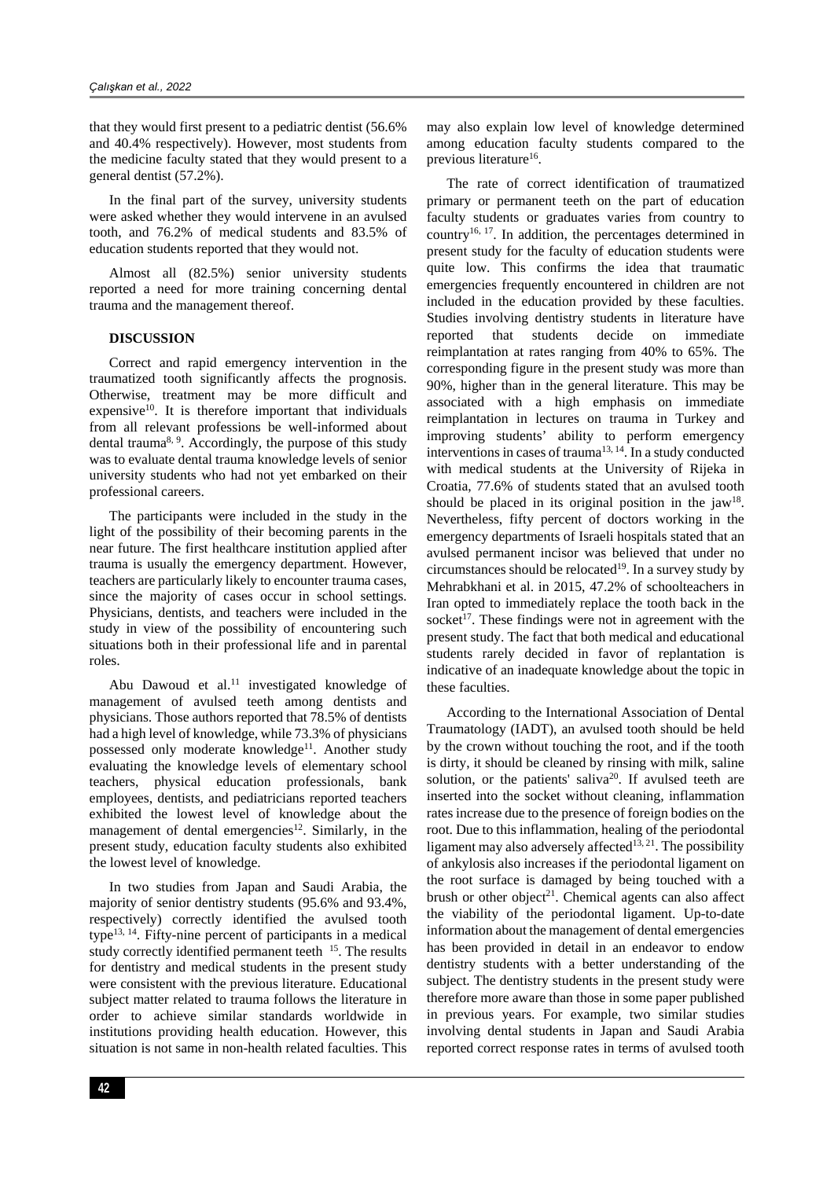that they would first present to a pediatric dentist (56.6% and 40.4% respectively). However, most students from the medicine faculty stated that they would present to a general dentist (57.2%).

In the final part of the survey, university students were asked whether they would intervene in an avulsed tooth, and 76.2% of medical students and 83.5% of education students reported that they would not.

Almost all (82.5%) senior university students reported a need for more training concerning dental trauma and the management thereof.

### **DISCUSSION**

Correct and rapid emergency intervention in the traumatized tooth significantly affects the prognosis. Otherwise, treatment may be more difficult and expensive<sup>10</sup>. It is therefore important that individuals from all relevant professions be well-informed about dental trauma<sup>8, 9</sup>. Accordingly, the purpose of this study was to evaluate dental trauma knowledge levels of senior university students who had not yet embarked on their professional careers.

The participants were included in the study in the light of the possibility of their becoming parents in the near future. The first healthcare institution applied after trauma is usually the emergency department. However, teachers are particularly likely to encounter trauma cases, since the majority of cases occur in school settings. Physicians, dentists, and teachers were included in the study in view of the possibility of encountering such situations both in their professional life and in parental roles.

Abu Dawoud et al.<sup>11</sup> investigated knowledge of management of avulsed teeth among dentists and physicians. Those authors reported that 78.5% of dentists had a high level of knowledge, while 73.3% of physicians possessed only moderate knowledge<sup>11</sup>. Another study evaluating the knowledge levels of elementary school teachers, physical education professionals, bank employees, dentists, and pediatricians reported teachers exhibited the lowest level of knowledge about the management of dental emergencies<sup>12</sup>. Similarly, in the present study, education faculty students also exhibited the lowest level of knowledge.

In two studies from Japan and Saudi Arabia, the majority of senior dentistry students (95.6% and 93.4%, respectively) correctly identified the avulsed tooth type<sup>13, 14</sup>. Fifty-nine percent of participants in a medical study correctly identified permanent teeth <sup>15</sup>. The results for dentistry and medical students in the present study were consistent with the previous literature. Educational subject matter related to trauma follows the literature in order to achieve similar standards worldwide in institutions providing health education. However, this situation is not same in non-health related faculties. This may also explain low level of knowledge determined among education faculty students compared to the previous literature<sup>16</sup>.

The rate of correct identification of traumatized primary or permanent teeth on the part of education faculty students or graduates varies from country to country16, 17. In addition, the percentages determined in present study for the faculty of education students were quite low. This confirms the idea that traumatic emergencies frequently encountered in children are not included in the education provided by these faculties. Studies involving dentistry students in literature have reported that students decide on immediate reimplantation at rates ranging from 40% to 65%. The corresponding figure in the present study was more than 90%, higher than in the general literature. This may be associated with a high emphasis on immediate reimplantation in lectures on trauma in Turkey and improving students' ability to perform emergency interventions in cases of trauma<sup>13, 14</sup>. In a study conducted with medical students at the University of Rijeka in Croatia, 77.6% of students stated that an avulsed tooth should be placed in its original position in the  $iaw^{18}$ . Nevertheless, fifty percent of doctors working in the emergency departments of Israeli hospitals stated that an avulsed permanent incisor was believed that under no circumstances should be relocated<sup>19</sup>. In a survey study by Mehrabkhani et al. in 2015, 47.2% of schoolteachers in Iran opted to immediately replace the tooth back in the socket<sup>17</sup>. These findings were not in agreement with the present study. The fact that both medical and educational students rarely decided in favor of replantation is indicative of an inadequate knowledge about the topic in these faculties.

According to the International Association of Dental Traumatology (IADT), an avulsed tooth should be held by the crown without touching the root, and if the tooth is dirty, it should be cleaned by rinsing with milk, saline solution, or the patients' saliva<sup>20</sup>. If avulsed teeth are inserted into the socket without cleaning, inflammation rates increase due to the presence of foreign bodies on the root. Due to this inflammation, healing of the periodontal ligament may also adversely affected<sup>13, 21</sup>. The possibility of ankylosis also increases if the periodontal ligament on the root surface is damaged by being touched with a brush or other object<sup>21</sup>. Chemical agents can also affect the viability of the periodontal ligament. Up-to-date information about the management of dental emergencies has been provided in detail in an endeavor to endow dentistry students with a better understanding of the subject. The dentistry students in the present study were therefore more aware than those in some paper published in previous years. For example, two similar studies involving dental students in Japan and Saudi Arabia reported correct response rates in terms of avulsed tooth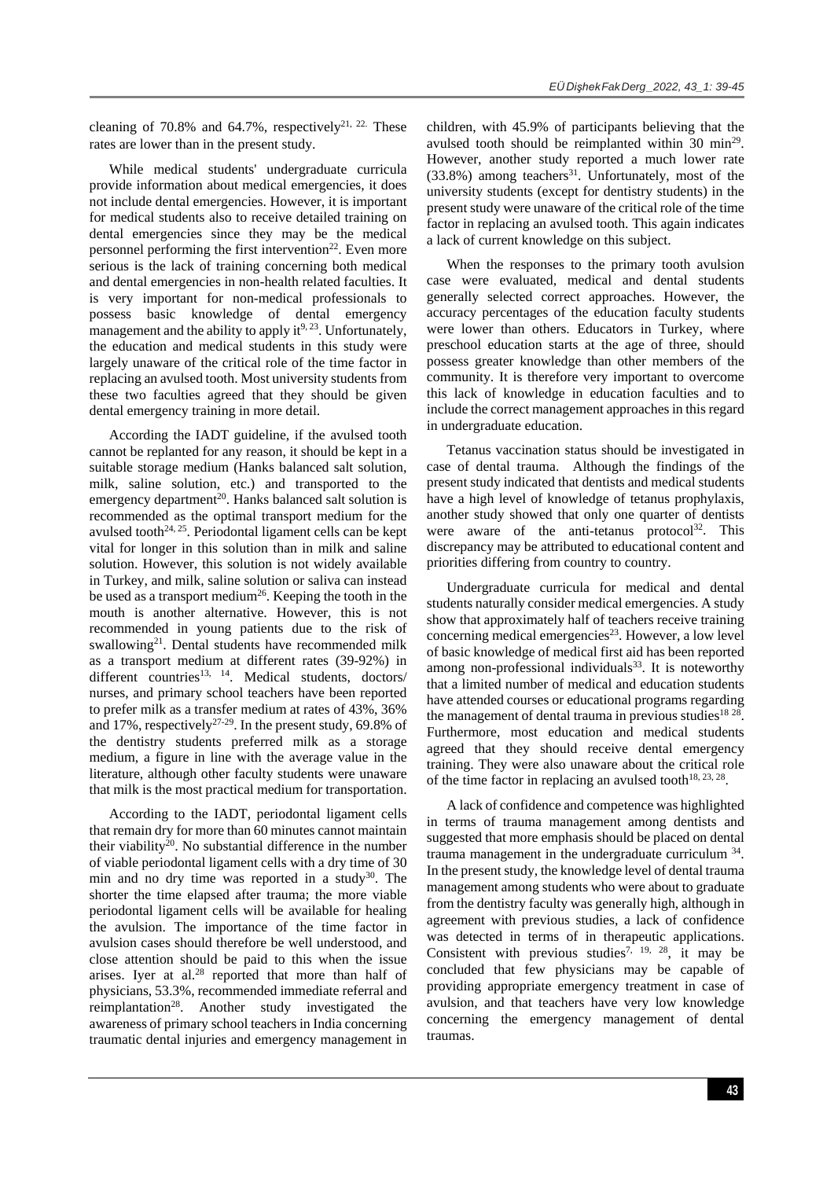cleaning of 70.8% and 64.7%, respectively<sup>21, 22.</sup> These rates are lower than in the present study.

While medical students' undergraduate curricula provide information about medical emergencies, it does not include dental emergencies. However, it is important for medical students also to receive detailed training on dental emergencies since they may be the medical personnel performing the first intervention<sup>22</sup>. Even more serious is the lack of training concerning both medical and dental emergencies in non-health related faculties. It is very important for non-medical professionals to possess basic knowledge of dental emergency management and the ability to apply it $9, 23$ . Unfortunately, the education and medical students in this study were largely unaware of the critical role of the time factor in replacing an avulsed tooth. Most university students from these two faculties agreed that they should be given dental emergency training in more detail.

According the IADT guideline, if the avulsed tooth cannot be replanted for any reason, it should be kept in a suitable storage medium (Hanks balanced salt solution, milk, saline solution, etc.) and transported to the emergency department<sup>20</sup>. Hanks balanced salt solution is recommended as the optimal transport medium for the avulsed tooth<sup>24, 25</sup>. Periodontal ligament cells can be kept vital for longer in this solution than in milk and saline solution. However, this solution is not widely available in Turkey, and milk, saline solution or saliva can instead be used as a transport medium<sup>26</sup>. Keeping the tooth in the mouth is another alternative. However, this is not recommended in young patients due to the risk of swallowing<sup>21</sup>. Dental students have recommended milk as a transport medium at different rates (39-92%) in different countries<sup>13, 14</sup>. Medical students, doctors/ nurses, and primary school teachers have been reported to prefer milk as a transfer medium at rates of 43%, 36% and 17%, respectively<sup>27-29</sup>. In the present study, 69.8% of the dentistry students preferred milk as a storage medium, a figure in line with the average value in the literature, although other faculty students were unaware that milk is the most practical medium for transportation.

According to the IADT, periodontal ligament cells that remain dry for more than 60 minutes cannot maintain their viability20. No substantial difference in the number of viable periodontal ligament cells with a dry time of 30 min and no dry time was reported in a study<sup>30</sup>. The shorter the time elapsed after trauma; the more viable periodontal ligament cells will be available for healing the avulsion. The importance of the time factor in avulsion cases should therefore be well understood, and close attention should be paid to this when the issue arises. Iyer at al.<sup>28</sup> reported that more than half of physicians, 53.3%, recommended immediate referral and reimplantation<sup>28</sup>. Another study investigated the awareness of primary school teachers in India concerning traumatic dental injuries and emergency management in children, with 45.9% of participants believing that the avulsed tooth should be reimplanted within 30 min<sup>29</sup>. However, another study reported a much lower rate  $(33.8%)$  among teachers<sup>31</sup>. Unfortunately, most of the university students (except for dentistry students) in the present study were unaware of the critical role of the time factor in replacing an avulsed tooth. This again indicates a lack of current knowledge on this subject.

When the responses to the primary tooth avulsion case were evaluated, medical and dental students generally selected correct approaches. However, the accuracy percentages of the education faculty students were lower than others. Educators in Turkey, where preschool education starts at the age of three, should possess greater knowledge than other members of the community. It is therefore very important to overcome this lack of knowledge in education faculties and to include the correct management approaches in this regard in undergraduate education.

Tetanus vaccination status should be investigated in case of dental trauma. Although the findings of the present study indicated that dentists and medical students have a high level of knowledge of tetanus prophylaxis, another study showed that only one quarter of dentists were aware of the anti-tetanus protocol<sup>32</sup>. This discrepancy may be attributed to educational content and priorities differing from country to country.

Undergraduate curricula for medical and dental students naturally consider medical emergencies. A study show that approximately half of teachers receive training concerning medical emergencies<sup>23</sup>. However, a low level of basic knowledge of medical first aid has been reported among non-professional individuals $33$ . It is noteworthy that a limited number of medical and education students have attended courses or educational programs regarding the management of dental trauma in previous studies<sup>18 28</sup>. Furthermore, most education and medical students agreed that they should receive dental emergency training. They were also unaware about the critical role of the time factor in replacing an avulsed tooth<sup>18, 23, 28</sup>.

A lack of confidence and competence was highlighted in terms of trauma management among dentists and suggested that more emphasis should be placed on dental trauma management in the undergraduate curriculum 34. In the present study, the knowledge level of dental trauma management among students who were about to graduate from the dentistry faculty was generally high, although in agreement with previous studies, a lack of confidence was detected in terms of in therapeutic applications. Consistent with previous studies<sup>7, 19, 28</sup>, it may be concluded that few physicians may be capable of providing appropriate emergency treatment in case of avulsion, and that teachers have very low knowledge concerning the emergency management of dental traumas.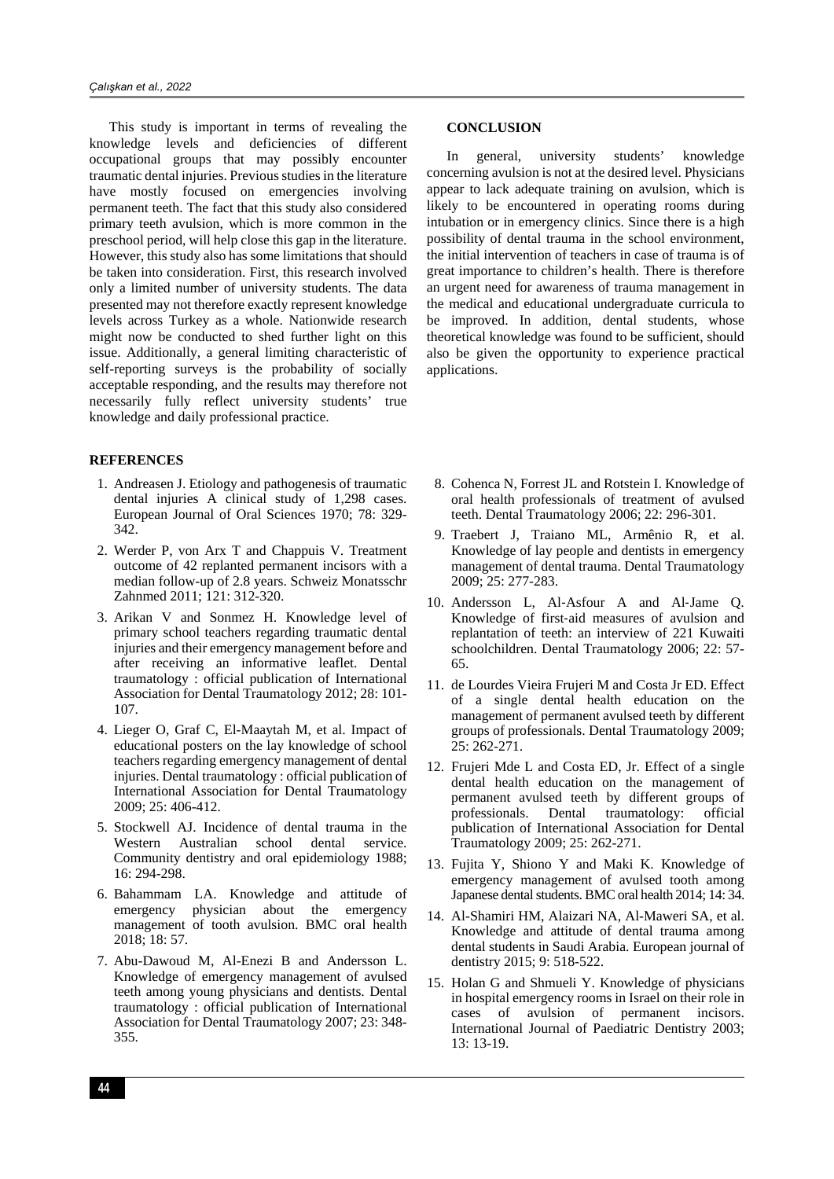This study is important in terms of revealing the knowledge levels and deficiencies of different occupational groups that may possibly encounter traumatic dental injuries. Previous studies in the literature have mostly focused on emergencies involving permanent teeth. The fact that this study also considered primary teeth avulsion, which is more common in the preschool period, will help close this gap in the literature. However, this study also has some limitations that should be taken into consideration. First, this research involved only a limited number of university students. The data presented may not therefore exactly represent knowledge levels across Turkey as a whole. Nationwide research might now be conducted to shed further light on this issue. Additionally, a general limiting characteristic of self-reporting surveys is the probability of socially acceptable responding, and the results may therefore not necessarily fully reflect university students' true knowledge and daily professional practice.

# **REFERENCES**

- 1. Andreasen J. Etiology and pathogenesis of traumatic dental injuries A clinical study of 1,298 cases. European Journal of Oral Sciences 1970; 78: 329- 342.
- 2. Werder P, von Arx T and Chappuis V. Treatment outcome of 42 replanted permanent incisors with a median follow-up of 2.8 years. Schweiz Monatsschr Zahnmed 2011; 121: 312-320.
- 3. Arikan V and Sonmez H. Knowledge level of primary school teachers regarding traumatic dental injuries and their emergency management before and after receiving an informative leaflet. Dental traumatology : official publication of International Association for Dental Traumatology 2012; 28: 101- 107.
- 4. Lieger O, Graf C, El-Maaytah M, et al. Impact of educational posters on the lay knowledge of school teachers regarding emergency management of dental injuries. Dental traumatology : official publication of International Association for Dental Traumatology 2009; 25: 406-412.
- 5. Stockwell AJ. Incidence of dental trauma in the Western Australian school dental service. Community dentistry and oral epidemiology 1988; 16: 294-298.
- 6. Bahammam LA. Knowledge and attitude of emergency physician about the emergency management of tooth avulsion. BMC oral health 2018; 18: 57.
- 7. Abu-Dawoud M, Al-Enezi B and Andersson L. Knowledge of emergency management of avulsed teeth among young physicians and dentists. Dental traumatology : official publication of International Association for Dental Traumatology 2007; 23: 348- 355.

#### **CONCLUSION**

In general, university students' knowledge concerning avulsion is not at the desired level. Physicians appear to lack adequate training on avulsion, which is likely to be encountered in operating rooms during intubation or in emergency clinics. Since there is a high possibility of dental trauma in the school environment, the initial intervention of teachers in case of trauma is of great importance to children's health. There is therefore an urgent need for awareness of trauma management in the medical and educational undergraduate curricula to be improved. In addition, dental students, whose theoretical knowledge was found to be sufficient, should also be given the opportunity to experience practical applications.

- 8. Cohenca N, Forrest JL and Rotstein I. Knowledge of oral health professionals of treatment of avulsed teeth. Dental Traumatology 2006; 22: 296-301.
- 9. Traebert J, Traiano ML, Armênio R, et al. Knowledge of lay people and dentists in emergency management of dental trauma. Dental Traumatology 2009; 25: 277-283.
- 10. Andersson L, Al-Asfour A and Al-Jame Q. Knowledge of first‐aid measures of avulsion and replantation of teeth: an interview of 221 Kuwaiti schoolchildren. Dental Traumatology 2006; 22: 57- 65.
- 11. de Lourdes Vieira Frujeri M and Costa Jr ED. Effect of a single dental health education on the management of permanent avulsed teeth by different groups of professionals. Dental Traumatology 2009; 25: 262-271.
- 12. Frujeri Mde L and Costa ED, Jr. Effect of a single dental health education on the management of permanent avulsed teeth by different groups of professionals. Dental traumatology: official publication of International Association for Dental Traumatology 2009; 25: 262-271.
- 13. Fujita Y, Shiono Y and Maki K. Knowledge of emergency management of avulsed tooth among Japanese dental students. BMC oral health 2014; 14: 34.
- 14. Al-Shamiri HM, Alaizari NA, Al-Maweri SA, et al. Knowledge and attitude of dental trauma among dental students in Saudi Arabia. European journal of dentistry 2015; 9: 518-522.
- 15. Holan G and Shmueli Y. Knowledge of physicians in hospital emergency rooms in Israel on their role in cases of avulsion of permanent incisors. International Journal of Paediatric Dentistry 2003; 13: 13-19.